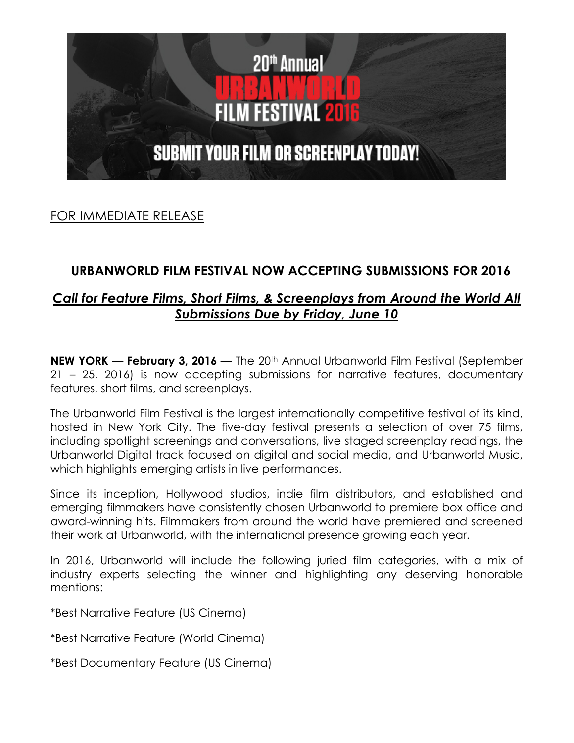

FOR IMMEDIATE RELEASE

# **URBANWORLD FILM FESTIVAL NOW ACCEPTING SUBMISSIONS FOR 2016**

## *Call for Feature Films, Short Films, & Screenplays from Around the World All Submissions Due by Friday, June 10*

**NEW YORK** — **February 3, 2016** — The 20th Annual Urbanworld Film Festival (September 21 – 25, 2016) is now accepting submissions for narrative features, documentary features, short films, and screenplays.

The Urbanworld Film Festival is the largest internationally competitive festival of its kind, hosted in New York City. The five-day festival presents a selection of over 75 films, including spotlight screenings and conversations, live staged screenplay readings, the Urbanworld Digital track focused on digital and social media, and Urbanworld Music, which highlights emerging artists in live performances.

Since its inception, Hollywood studios, indie film distributors, and established and emerging filmmakers have consistently chosen Urbanworld to premiere box office and award-winning hits. Filmmakers from around the world have premiered and screened their work at Urbanworld, with the international presence growing each year.

In 2016, Urbanworld will include the following juried film categories, with a mix of industry experts selecting the winner and highlighting any deserving honorable mentions:

\*Best Narrative Feature (US Cinema)

\*Best Narrative Feature (World Cinema)

\*Best Documentary Feature (US Cinema)